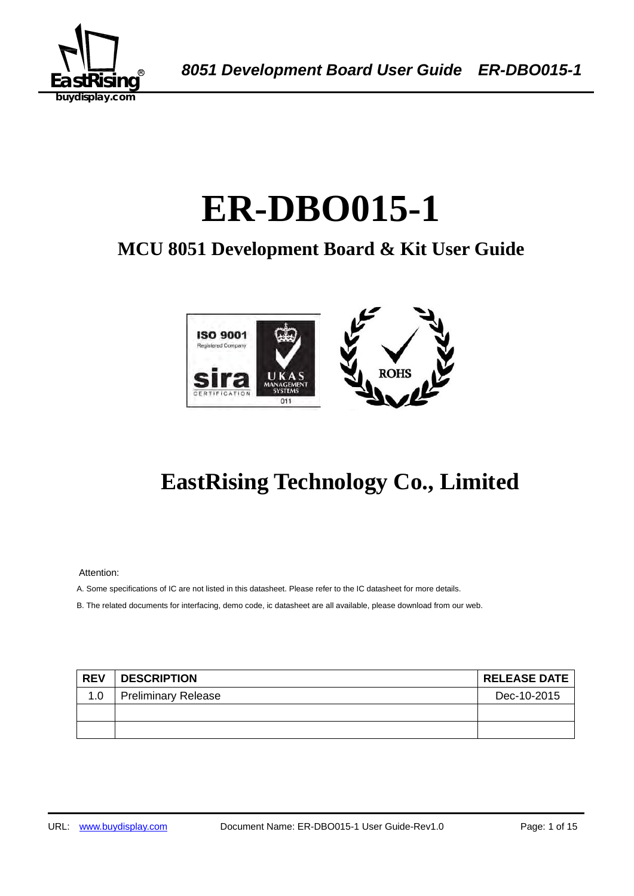

# ER-DBO015-1

## **MCU 8051 Development Board & Kit User Guide**



## **EastRising Technology Co., Limited**

Attention:

A. Some specifications of IC are not listed in this datasheet. Please refer to the IC datasheet for more details.

B. The related documents for interfacing, demo code, ic datasheet are all available, please download from our web.

| <b>REV</b> | <b>DESCRIPTION</b>         | <b>RELEASE DATE</b> |
|------------|----------------------------|---------------------|
| 1.0        | <b>Preliminary Release</b> | Dec-10-2015         |
|            |                            |                     |
|            |                            |                     |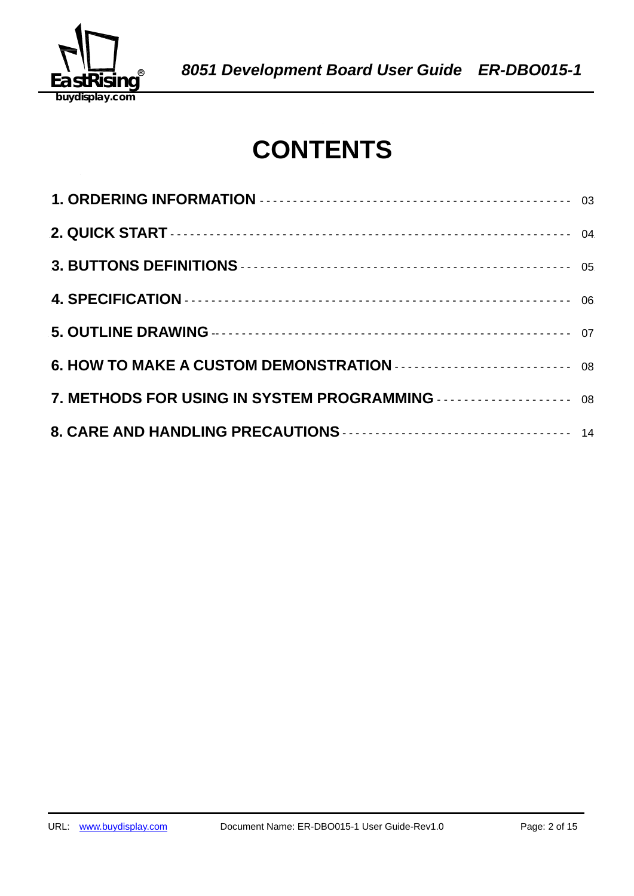

## **CONTENTS**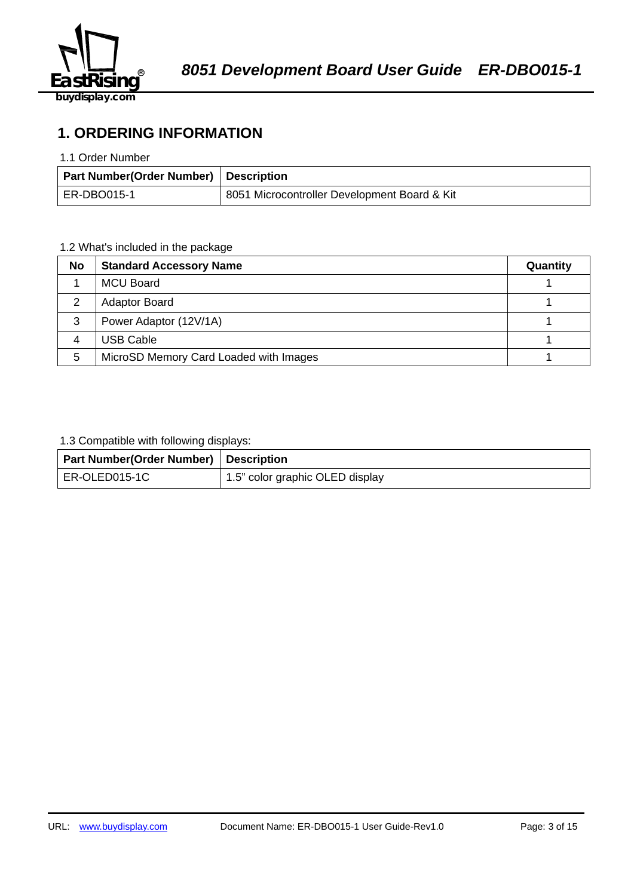

## **1. ORDERING INFORMATION**

#### 1.1 Order Number

| Part Number(Order Number) Description |                                              |
|---------------------------------------|----------------------------------------------|
| ER-DBO015-1                           | 8051 Microcontroller Development Board & Kit |

## 1.2 What's included in the package

| No | <b>Standard Accessory Name</b>         | Quantity |
|----|----------------------------------------|----------|
|    | <b>MCU Board</b>                       |          |
| 2  | <b>Adaptor Board</b>                   |          |
| 3  | Power Adaptor (12V/1A)                 |          |
| 4  | <b>USB Cable</b>                       |          |
| 5  | MicroSD Memory Card Loaded with Images |          |

## 1.3 Compatible with following displays:

| <b>Part Number (Order Number)</b> Description |                                              |
|-----------------------------------------------|----------------------------------------------|
| ER-OLED015-1C                                 | <sup>1</sup> 1.5" color graphic OLED display |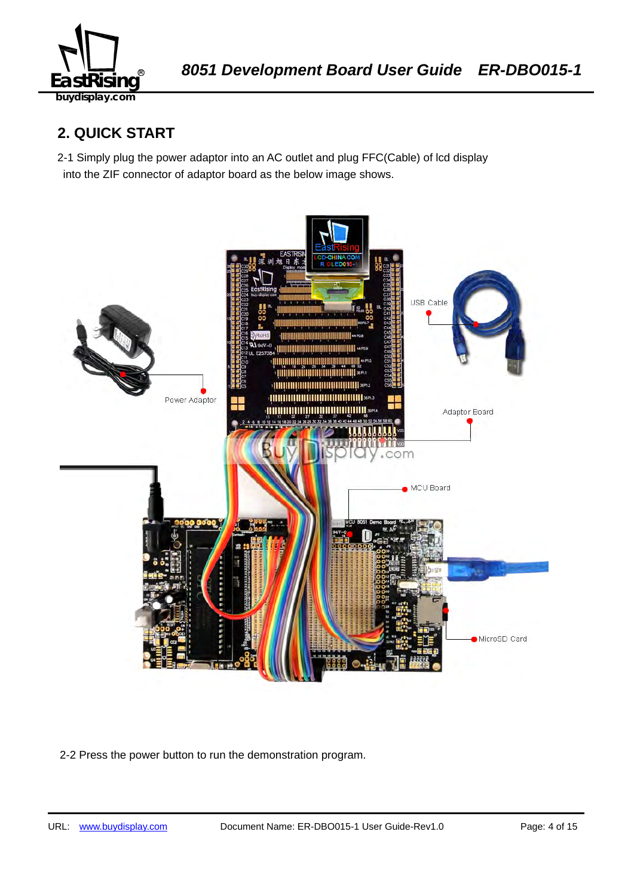

## **2. QUICK START**

2-1 Simply plug the power adaptor into an AC outlet and plug FFC(Cable) of lcd display into the ZIF connector of adaptor board as the below image shows.



2-2 Press the power button to run the demonstration program.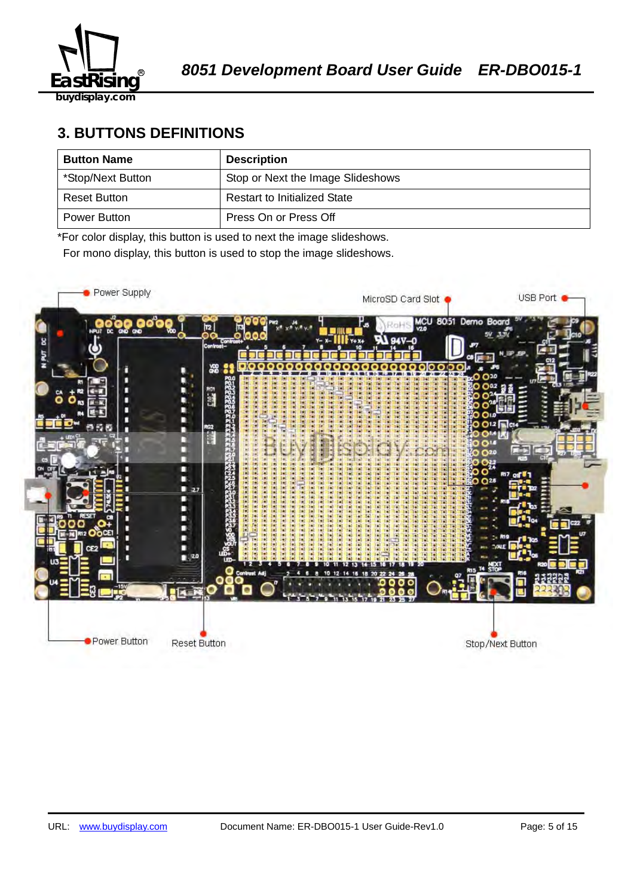

## **3. BUTTONS DEFINITIONS**

| <b>Button Name</b> | <b>Description</b>                  |
|--------------------|-------------------------------------|
| *Stop/Next Button  | Stop or Next the Image Slideshows   |
| Reset Button       | <b>Restart to Initialized State</b> |
| Power Button       | Press On or Press Off               |

\*For color display, this button is used to next the image slideshows.

For mono display, this button is used to stop the image slideshows.

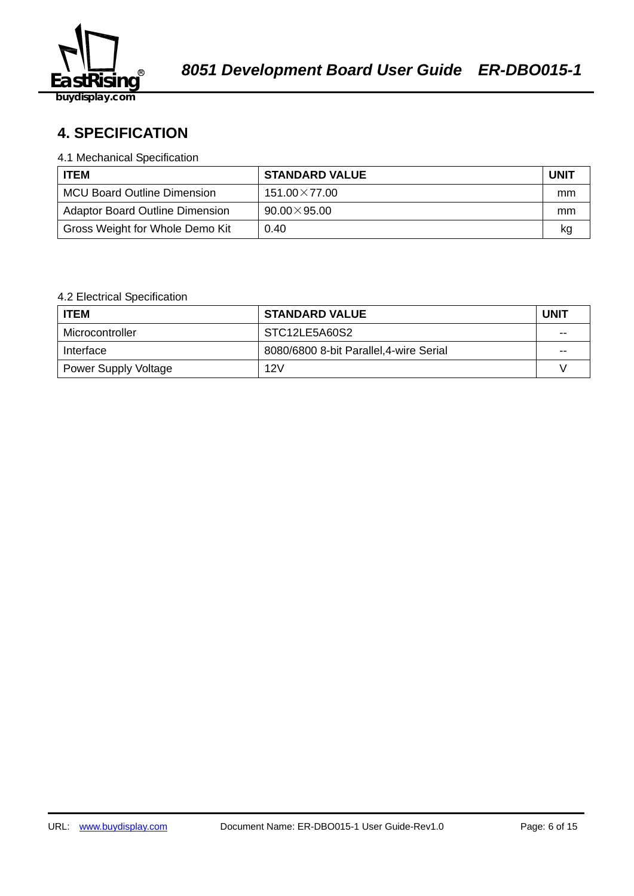

## 58B2140359**4. SPECIFICATION**

#### 4.1 Mechanical Specification

| <b>ITEM</b>                            | <b>STANDARD VALUE</b> | <b>UNIT</b> |
|----------------------------------------|-----------------------|-------------|
| <b>MCU Board Outline Dimension</b>     | $151.00\times77.00$   | mm          |
| <b>Adaptor Board Outline Dimension</b> | $90.00\times95.00$    | mm          |
| Gross Weight for Whole Demo Kit        | 0.40                  | kq          |

## 4.2 Electrical Specification

| <b>ITEM</b>                 | <b>STANDARD VALUE</b>                   | <b>UNIT</b> |
|-----------------------------|-----------------------------------------|-------------|
| Microcontroller             | STC12LE5A60S2                           | $-$         |
| Interface                   | 8080/6800 8-bit Parallel, 4-wire Serial | $- -$       |
| <b>Power Supply Voltage</b> | 12V                                     |             |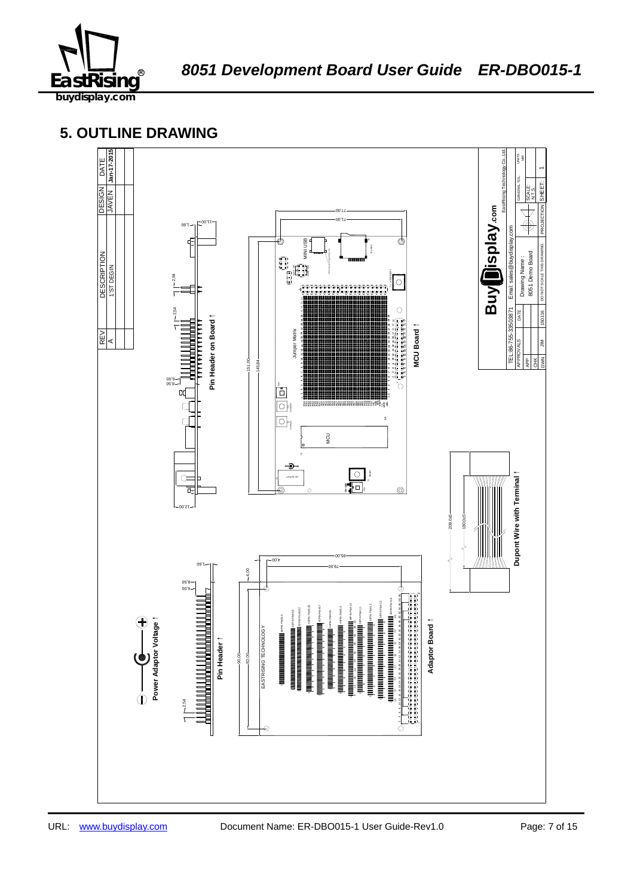

## **5. OUTLINE DRAWING**

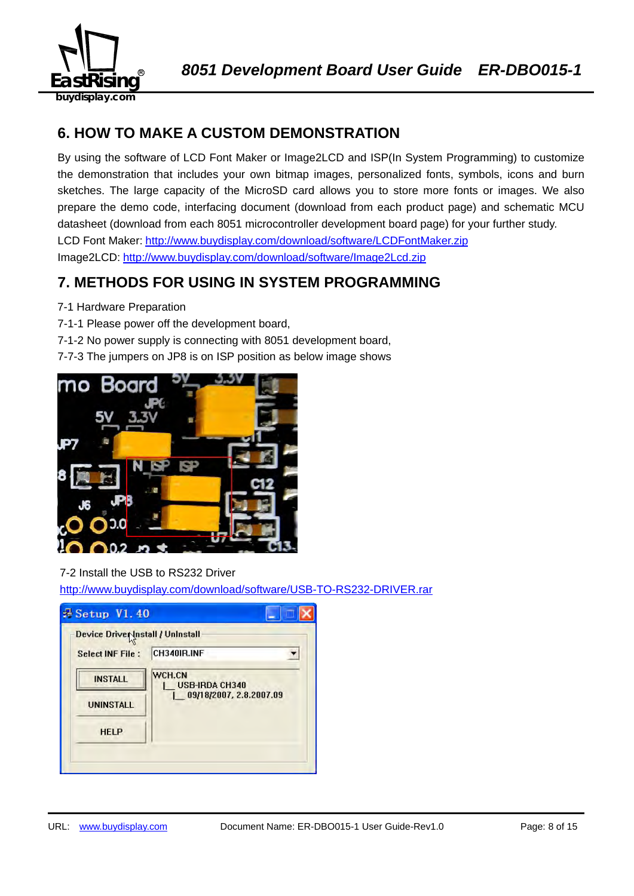

## **6. HOW TO MAKE A CUSTOM DEMONSTRATION**

By using the software of LCD Font Maker or Image2LCD and ISP(In System Programming) to customize the demonstration that includes your own bitmap images, personalized fonts, symbols, icons and burn sketches. The large capacity of the MicroSD card allows you to store more fonts or images. We also prepare the demo code, interfacing document (download from each product page) and schematic MCU datasheet (download from each 8051 microcontroller development board page) for your further study. LCD Font Maker: http://www.buydisplay.com/download/software/LCDFontMaker.zip Image2LCD: http://www.buydisplay.com/download/software/Image2Lcd.zip

## **7. METHODS FOR USING IN SYSTEM PROGRAMMING**

- 7-1 Hardware Preparation
- 7-1-1 Please power off the development board,
- 7-1-2 No power supply is connecting with 8051 development board,
- 7-7-3 The jumpers on JP8 is on ISP position as below image shows



## 7-2 Install the USB to RS232 Driver

http://www.buydisplay.com/download/software/USB-TO-RS232-DRIVER.rar

| Device Driver Install / Uninstall |                                        |
|-----------------------------------|----------------------------------------|
| <b>Select INF File:</b>           | CH340IR.INF                            |
| <b>INSTALL</b>                    | <b>WCH.CN</b><br><b>USB-IRDA CH340</b> |
| <b>UNINSTALL</b>                  | 09/18/2007, 2.8.2007.09                |
| <b>HELP</b>                       |                                        |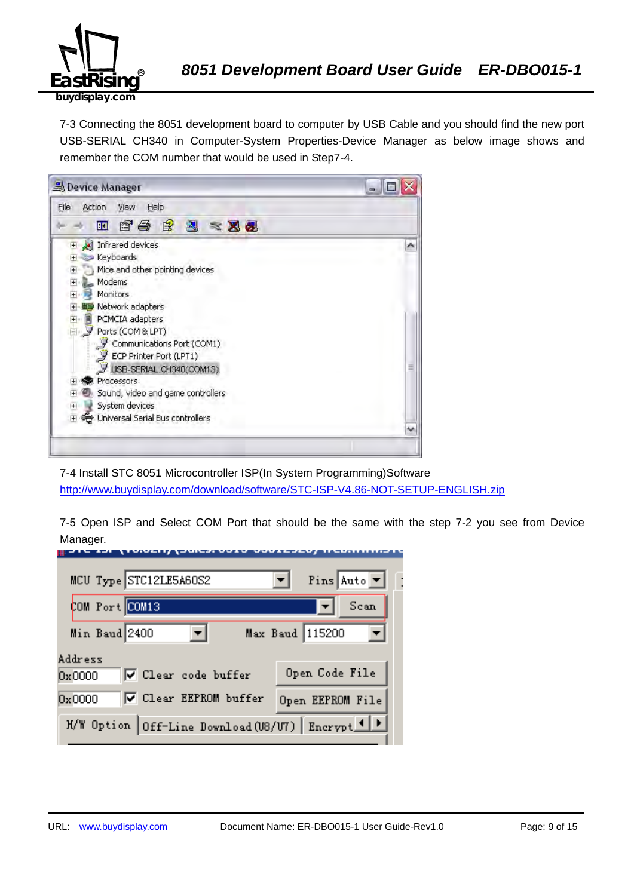

7-3 Connecting the 8051 development board to computer by USB Cable and you should find the new port USB-SERIAL CH340 in Computer-System Properties-Device Manager as below image shows and remember the COM number that would be used in Step7-4.



7-4 Install STC 8051 Microcontroller ISP(In System Programming)Software http://www.buydisplay.com/download/software/STC-ISP-V4.86-NOT-SETUP-ENGLISH.zip

7-5 Open ISP and Select COM Port that should be the same with the step 7-2 you see from Device Manager.

| MCU Type STC12LE5A60S2                             | Pins Auto $\boxed{\mathbf{v}}$ |
|----------------------------------------------------|--------------------------------|
| COM Port COM13                                     | Scan                           |
| Min Baud 2400                                      | Max Baud 115200                |
| Address<br>V Clear code buffer<br>0x0000           | Open Code File                 |
| <b>▽</b> Clear EEPROM buffer<br>0x0000             | Open EEPROM File               |
| H/W Option Off-Line Download (U8/U7) Encrypt 1   > |                                |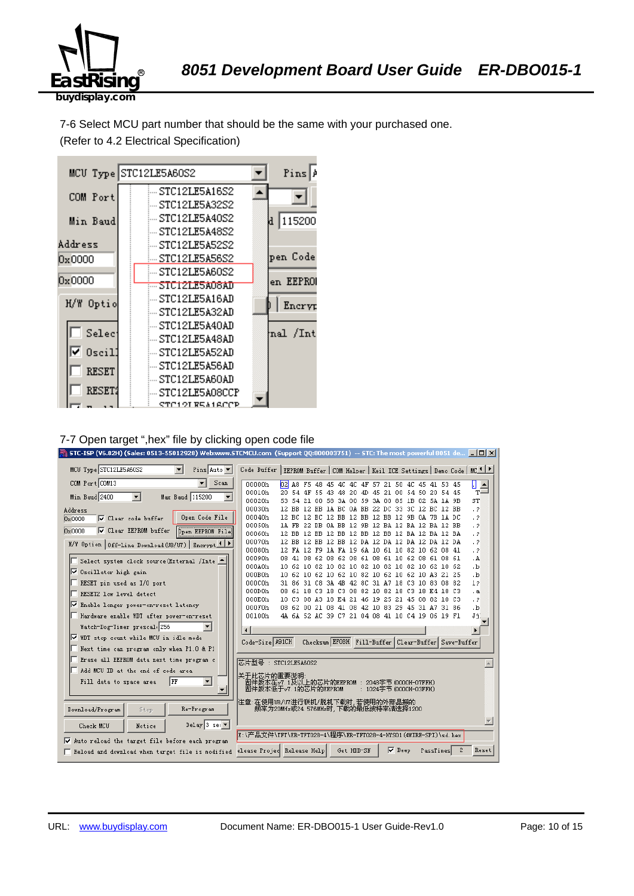

7-6 Select MCU part number that should be the same with your purchased one. (Refer to 4.2 Electrical Specification)



#### 7-7 Open target ",hex" file by clicking open code file

| STC-ISP (V6.82H) (Sales: 0513-55012928) Web:www.STCMCU.com (Support QQ:800003751) -- STC: The most powerful 8051 de   [C] X |                                                                                               |                                                                                                    |  |            |               |                        |                                                     |   |                        |
|-----------------------------------------------------------------------------------------------------------------------------|-----------------------------------------------------------------------------------------------|----------------------------------------------------------------------------------------------------|--|------------|---------------|------------------------|-----------------------------------------------------|---|------------------------|
| MCU Type STC12LE5A60S2<br>$\mathbf{r}$<br>Pins Auto v                                                                       | Code Buffer   EEPROM Buffer   COM Helper   Keil ICE Settings   Demo Code   MC <mark>IP</mark> |                                                                                                    |  |            |               |                        |                                                     |   |                        |
| COM Port COM13<br>Scan                                                                                                      | 00000h<br>$b^2$                                                                               |                                                                                                    |  |            |               |                        | A8 F5 48 45 4C 4C 4F 57 21 50 4C 45 41 53 45        |   | П<br>$\frac{1}{T}$     |
| Min Baud 2400<br>$\overline{\phantom{a}}$<br>$\blacktriangledown$<br>Max Baud 115200                                        | 00010h                                                                                        | 20 54 4F 55 43 48                                                                                  |  | -20<br>-4D |               |                        | 45 21 00 54 50 20 54 45                             |   |                        |
|                                                                                                                             | 00020h<br>53.                                                                                 | 54                                                                                                 |  |            |               |                        | 21 00 58 3A 00 59 3A 00 85 1B 02 5A 1A 9B           |   | ST                     |
| Address                                                                                                                     | 00030h                                                                                        | 12 BB 12 BB 1A BC 0A BB 22 DC 33 3C 12 BC 12 BB                                                    |  |            |               |                        |                                                     |   | $\cdot$ 2              |
| Open Code File<br>□ Clear code buffer<br>0x0000                                                                             | 00040h<br>00050h                                                                              | 12 BC 12 BC 12 BB 12 BB 12 BB 12 9B 0A 7B 1A DC<br>1A FB 22 DB 0A BB 12 9B 12 BA 12 BA 12 BA 12 BB |  |            |               |                        |                                                     |   | $\cdot$ ?<br>$\cdot$ ? |
| ☑ Clear EEPROM buffer<br><b>Open EEPROM File</b><br>0x0000                                                                  | 00060h                                                                                        | 12 BB 12 BB 12 BB 12 BB 12 BB 12 BA 12 BA 12 BA                                                    |  |            |               |                        |                                                     |   | $\cdot$ ?              |
|                                                                                                                             | 00070h                                                                                        | 12 BB 12 BB 12 BB 12 DA 12 DA 12 DA 12 DA 12 DA                                                    |  |            |               |                        |                                                     |   | $\cdot$ 2              |
| H/W Option   Off-Line Download (U8/U7)   Encrypt 1   P                                                                      | 00080h                                                                                        | 12 FA 12 F9 1A FA 19 6A 10 61 10 82 10 62 08 41                                                    |  |            |               |                        |                                                     |   | $\cdot$ ?              |
| Select system clock source (External /Inte<br>⊩                                                                             | 00090h                                                                                        | 08 41 08 62 08 62 08 61 08 61 10 62 08 61 08 61                                                    |  |            |               |                        |                                                     |   | . A                    |
|                                                                                                                             | 000A0h                                                                                        | 10 62 10 82 10 82 10 82 10 82 10 82 10 62 10 62                                                    |  |            |               |                        |                                                     |   | ۰b.                    |
| Ⅳ Oscillator high gain                                                                                                      | 000B0h                                                                                        | 10 62 10 62 10 62 10 82 10 62 10 62 10 A3 21 25                                                    |  |            |               |                        |                                                     |   | .b                     |
| RESET pin used as I/O port                                                                                                  | 000C0h                                                                                        | 31 86 31 C8 3A 4B 42 8C 31 A7 18 C3 10 83 08 82                                                    |  |            |               |                        |                                                     |   | 12                     |
| RESET2 low level detect                                                                                                     | 000D0h                                                                                        | 08 61 18 C3 18 C3 08 82 10 82 18 C3 18 E4 18 C3                                                    |  |            |               |                        |                                                     |   | $\cdot$ a              |
| <b>V</b> Enable longer power-on-reset latency                                                                               | 000E0h<br>000F0h                                                                              | 10 C3 08 A3 18 E4 21 46 19 25 21 45 08 82 10 C3<br>08 62 00 21 08 41 08 42 10 83 29 45 31 A7 31 86 |  |            |               |                        |                                                     |   | $\cdot$ ?<br>۰b.       |
| Hardware enable WDT after power-on-reset                                                                                    | 00100h                                                                                        | 4A 6A 52 AC 39 C7 21 04 08 41 10 C4 19 06 19 F1                                                    |  |            |               |                        |                                                     |   | Ji.                    |
|                                                                                                                             |                                                                                               |                                                                                                    |  |            |               |                        |                                                     |   |                        |
| Watch-Dog-Timer prescal 256                                                                                                 | $\blacksquare$                                                                                |                                                                                                    |  |            |               |                        |                                                     |   | $\blacktriangleright$  |
| Ⅳ WDT stop count while MCU in idle mode                                                                                     | Code-Size A91CH                                                                               |                                                                                                    |  |            |               |                        | Checksum EFOBH Fill-Buffer Clear-Buffer Save-Buffer |   |                        |
| Next time can program only when P1.0 & P1                                                                                   |                                                                                               |                                                                                                    |  |            |               |                        |                                                     |   |                        |
| Erase all EEPROM data next time program c                                                                                   | 芯片型号: STC12LE5A60S2                                                                           |                                                                                                    |  |            |               |                        |                                                     |   |                        |
| Add MCU ID at the end of code area                                                                                          | 关于此芯片的重要说明                                                                                    |                                                                                                    |  |            |               |                        |                                                     |   |                        |
| $\blacktriangledown$<br>Fill data to space area<br>  FF                                                                     | 固件版本在v7.1及以上的芯片的EEPROM : 2048字节(0000H-07FFH)                                                  |                                                                                                    |  |            |               |                        |                                                     |   |                        |
|                                                                                                                             | 固件版本低于v7.1的芯片的EEPROM                                                                          |                                                                                                    |  |            |               | : 1024字节 (0000H-03FFH) |                                                     |   |                        |
|                                                                                                                             | 注意:在使用U8/UT进行联机/脱机下载时,若使用的外部晶振的                                                               |                                                                                                    |  |            |               |                        |                                                     |   |                        |
| Re-Program<br>Download/Program<br>Stop                                                                                      | 频率为20MHz或24.576MHz时,下载的最低波特率请选择1200                                                           |                                                                                                    |  |            |               |                        |                                                     |   |                        |
| Delay 3 sec $\blacktriangledown$<br>Check MCU<br>Notice                                                                     |                                                                                               |                                                                                                    |  |            |               |                        |                                                     |   |                        |
|                                                                                                                             | E:\产品文件\TFT\ER-TFT028-4\程序\ER-TFT028-4-HYS01 (4WIRE-SPI)\sd.hex                               |                                                                                                    |  |            |               |                        |                                                     |   |                        |
| Auto reload the target file before each program                                                                             |                                                                                               |                                                                                                    |  |            |               |                        |                                                     |   |                        |
| Reload and download when target file is modified                                                                            | elease Projed Release Help                                                                    |                                                                                                    |  | Get HDD-SN | $\nabla$ Beep |                        | PassTimes                                           | 2 | Reset                  |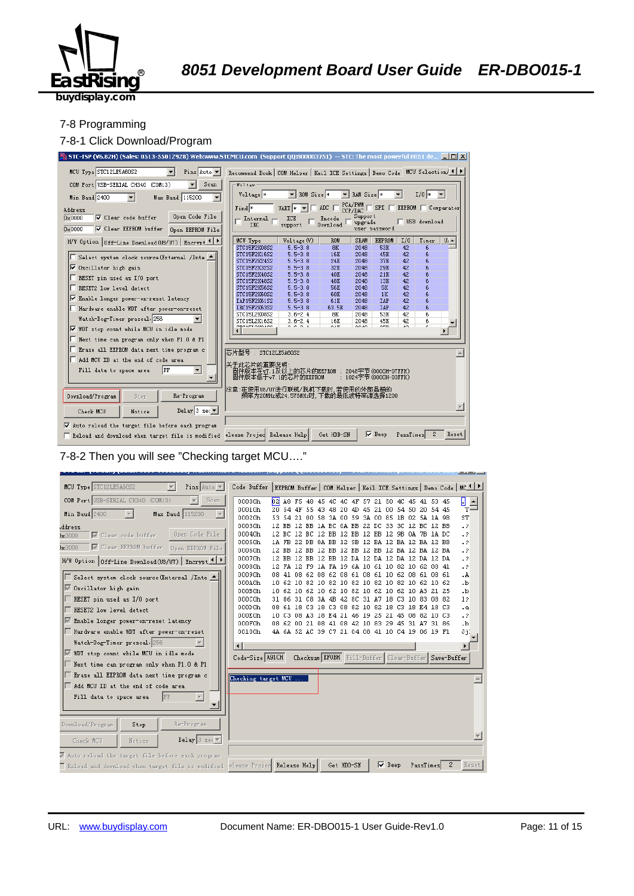

#### 7-8 Programming

#### 7-8-1 Click Download/Program



7-8-2 Then you will see "Checking target MCU…."

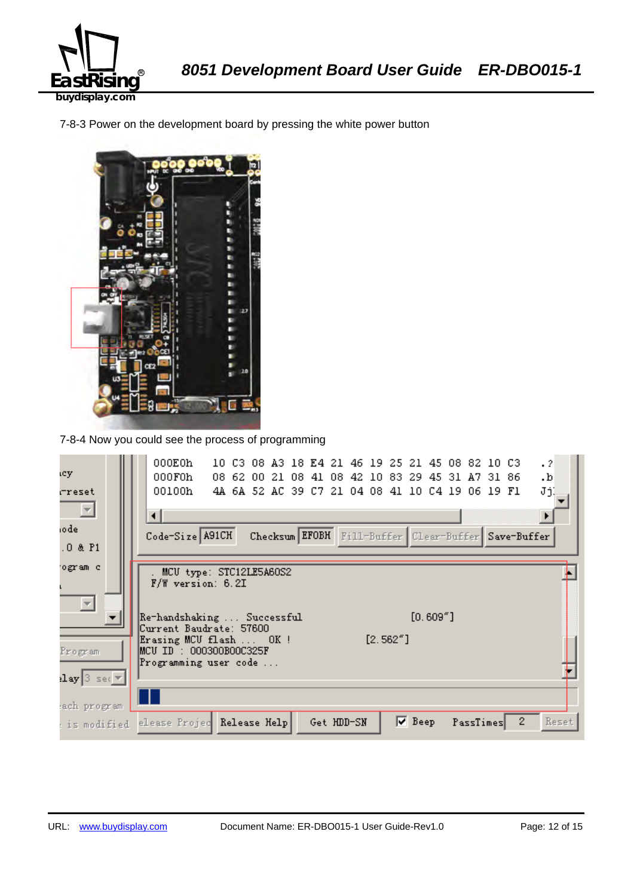

7-8-3 Power on the development board by pressing the white power button



7-8-4 Now you could see the process of programming

| ιcγ.                                     | 000E0h<br>$\cdot$ 2<br>10 C3 08 A3 18 E4 21 46 19 25 21 45 08 82 10 C3<br>000F0h<br>08 62 00 21 08 41 08 42 10 83 29 45 31 A7 31 86<br>$\cdot$ <sub>b</sub> |  |
|------------------------------------------|-------------------------------------------------------------------------------------------------------------------------------------------------------------|--|
| rreset                                   | JjĮ<br>00100h<br>4A 6A 52 AC 39 C7 21 04 08 41 10 C4 19 06 19 F1                                                                                            |  |
| $\equiv$                                 | ◂                                                                                                                                                           |  |
| iode                                     | Checksum EFOBH Fill-Buffer Clear-Buffer Save-Buffer<br>Code-Size A91CH                                                                                      |  |
| $.0$ & $P1$                              |                                                                                                                                                             |  |
| ogram c                                  | MCU type: STC12LE5A60S2                                                                                                                                     |  |
|                                          | $F/W$ version: 6.2I                                                                                                                                         |  |
| $\overline{\phantom{m}}$                 |                                                                                                                                                             |  |
|                                          | $[0.609"$ ]<br>Re-handshaking  Successful<br>Current Baudrate: 57600                                                                                        |  |
|                                          | $[2.562"$ ]<br>Erasing MCU flash  OK !                                                                                                                      |  |
| Program                                  | MCU ID : 000300B00C325F<br>Programming user code                                                                                                            |  |
| $\texttt{lay}[\texttt{3} \texttt{ sec}]$ |                                                                                                                                                             |  |
| ach program                              |                                                                                                                                                             |  |
| : is modified                            | $\mathbf{2}$<br>$\nabla$ Beep<br>Reset<br>elease Projec Release Help<br>Get HDD-SN<br>PassTimes                                                             |  |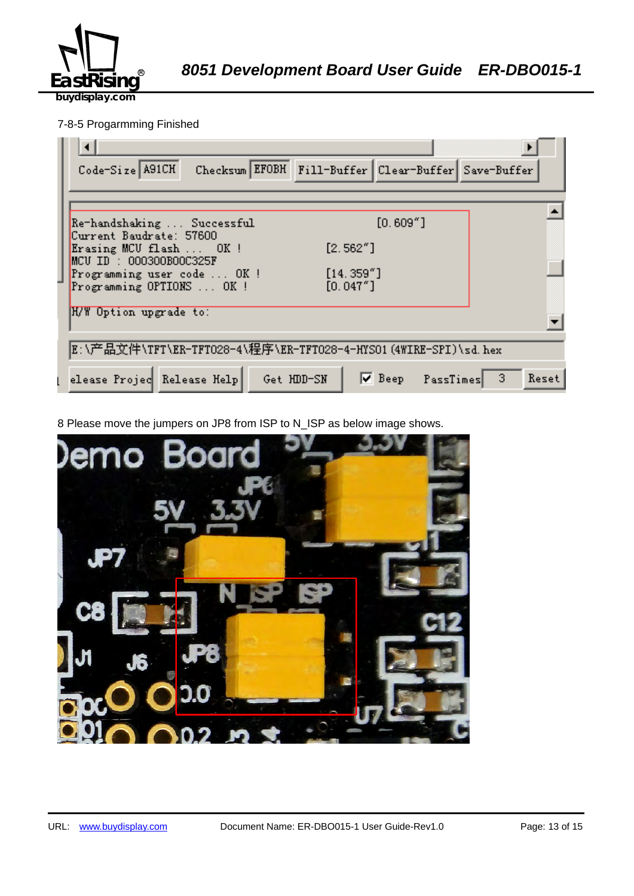

## 7-8-5 Progarmming Finished

| Checksum EFOBH Fill-Buffer Clear-Buffer Save-Buffer<br>Code-Size A91CH             |
|------------------------------------------------------------------------------------|
|                                                                                    |
| $[0.609"$ ]<br>Re-handshaking  Successful<br>Current Baudrate: 57600               |
| [2.562"]<br>Erasing MCU flash  OK!<br>$MCU$ ID : 000300B00C325F                    |
| [14.359'']<br>Programming user code  OK !<br>[0.047"]<br>Programming OPTIONS  OK ! |
| H/W Option upgrade to:                                                             |
| E:\产品文件\TFT\ER-TFT028-4\程序\ER-TFT028-4-HYSO1(4WIRE-SPI)\sd.hex                     |
| $\nabla$ Beep PassTimes 3<br>elease Projec Release Help<br>Get HDD-SN<br>Reset     |

8 Please move the jumpers on JP8 from ISP to N\_ISP as below image shows.

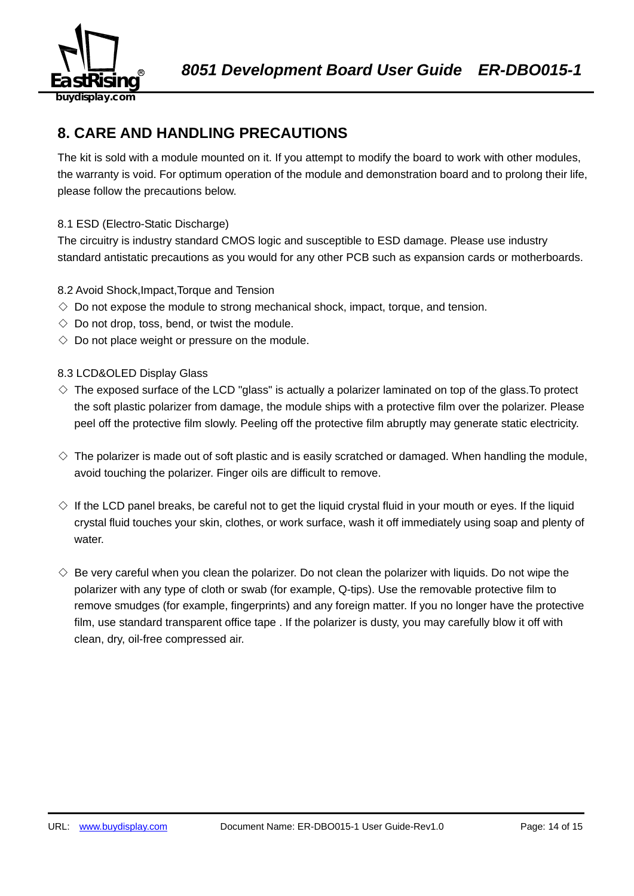

## **8. CARE AND HANDLING PRECAUTIONS**

The kit is sold with a module mounted on it. If you attempt to modify the board to work with other modules, the warranty is void. For optimum operation of the module and demonstration board and to prolong their life, please follow the precautions below.

## 8.1 ESD (Electro-Static Discharge)

The circuitry is industry standard CMOS logic and susceptible to ESD damage. Please use industry standard antistatic precautions as you would for any other PCB such as expansion cards or motherboards.

## 8.2 Avoid Shock,Impact,Torque and Tension

- $\Diamond$  Do not expose the module to strong mechanical shock, impact, torque, and tension.
- $\Diamond$  Do not drop, toss, bend, or twist the module.
- $\Diamond$  Do not place weight or pressure on the module.

## 8.3 LCD&OLED Display Glass

- $\diamond$  The exposed surface of the LCD "glass" is actually a polarizer laminated on top of the glass. To protect the soft plastic polarizer from damage, the module ships with a protective film over the polarizer. Please peel off the protective film slowly. Peeling off the protective film abruptly may generate static electricity.
- $\diamond$  The polarizer is made out of soft plastic and is easily scratched or damaged. When handling the module, avoid touching the polarizer. Finger oils are difficult to remove.
- $\Diamond$  If the LCD panel breaks, be careful not to get the liquid crystal fluid in your mouth or eyes. If the liquid crystal fluid touches your skin, clothes, or work surface, wash it off immediately using soap and plenty of water.
- $\diamondsuit$  Be very careful when you clean the polarizer. Do not clean the polarizer with liquids. Do not wipe the polarizer with any type of cloth or swab (for example, Q-tips). Use the removable protective film to remove smudges (for example, fingerprints) and any foreign matter. If you no longer have the protective film, use standard transparent office tape . If the polarizer is dusty, you may carefully blow it off with clean, dry, oil-free compressed air.